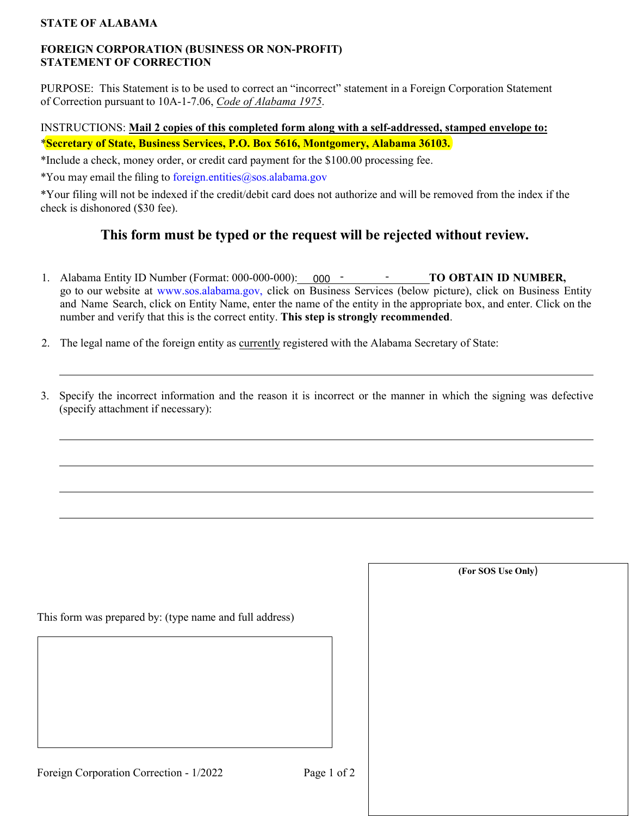## **STATE OF ALABAMA**

#### **FOREIGN CORPORATION (BUSINESS OR NON-PROFIT) STATEMENT OF CORRECTION**

PURPOSE: This Statement is to be used to correct an "incorrect" statement in a Foreign Corporation Statement of Correction pursuant to 10A-1-7.06, *Code of Alabama 1975*.

## INSTRUCTIONS: **Mail 2 copies of this completed form along with a self-addressed, stamped envelope to:** \***Secretary of State, Business Services, P.O. Box 5616, Montgomery, Alabama 36103.**

\*Include a check, money order, or credit card payment for the \$100.00 processing fee.

\*You may email the filing to [foreign.entities@sos.alabama.gov](mailto:foreign.entities@sos.alabama.gov)

\*Your filing will not be indexed if the credit/debit card does not authorize and will be removed from the index if the check is dishonored (\$30 fee).

## **This form must be typed or the request will be rejected without review.**

- 1. Alabama Entity ID Number (Format: 000-000-000): 000 TO OBTAIN ID NUMBER, go to our website at [www.sos.alabama.gov](http://www.sos.alabama.gov/), click on Business Services (below picture), click on Business Entity and Name Search, click on Entity Name, enter the name of the entity in the appropriate box, and enter. Click on the number and verify that this is the correct entity. **This step is strongly recommended**.
- 2. The legal name of the foreign entity as currently registered with the Alabama Secretary of State:
- 3. Specify the incorrect information and the reason it is incorrect or the manner in which the signing was defective (specify attachment if necessary):

This form was prepared by: (type name and full address)

**(For SOS Use Only**)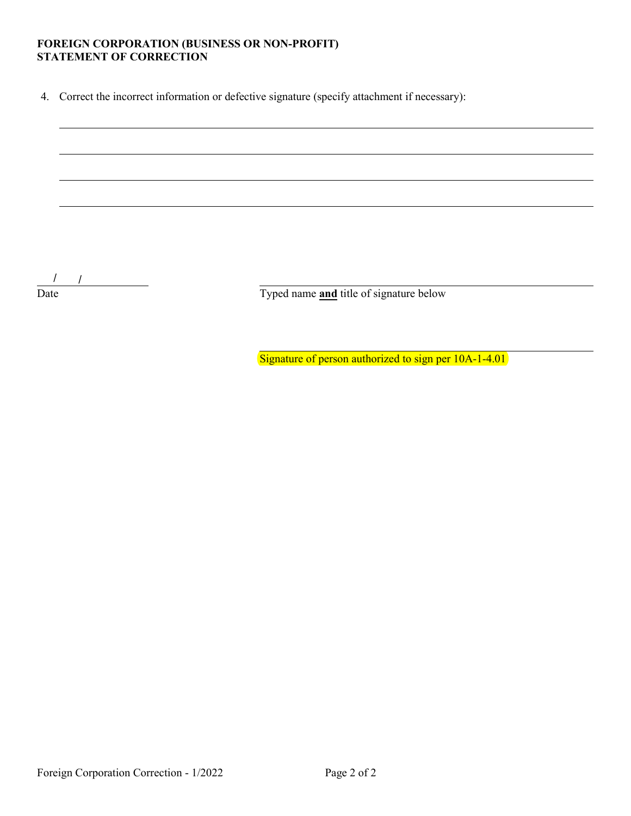# FOREIGN CORPORATION (BUSINESS OR NON-PROFIT)<br>STATEMENT OF CORRECTION

4. Correct the incorrect information or defective signature (specify attachment if necessary):

 $\frac{1}{\sqrt{1-\frac{1}{2}}}\frac{1}{\sqrt{1-\frac{1}{2}}}\frac{1}{\sqrt{1-\frac{1}{2}}}\frac{1}{\sqrt{1-\frac{1}{2}}}\frac{1}{\sqrt{1-\frac{1}{2}}}\frac{1}{\sqrt{1-\frac{1}{2}}}\frac{1}{\sqrt{1-\frac{1}{2}}}\frac{1}{\sqrt{1-\frac{1}{2}}}\frac{1}{\sqrt{1-\frac{1}{2}}}\frac{1}{\sqrt{1-\frac{1}{2}}}\frac{1}{\sqrt{1-\frac{1}{2}}}\frac{1}{\sqrt{1-\frac{1}{2}}}\frac{1}{\sqrt{1-\frac{1}{2}}}\frac{1}{\sqrt{1-\frac{$ Date

Typed name and title of signature below

Signature of person authorized to sign per 10A-1-4.01